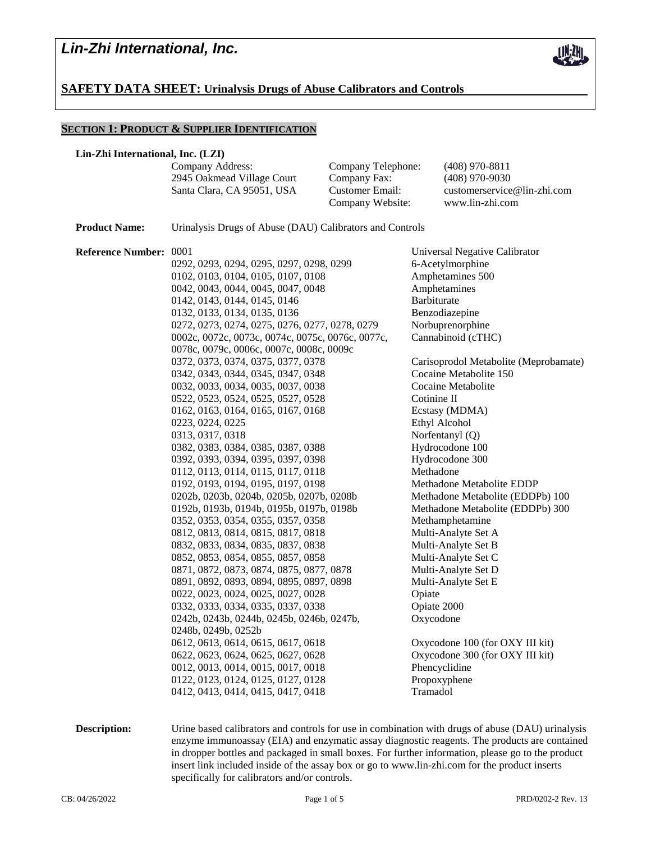

## **SAFETY DATA SHEET: Urinalysis Drugs of Abuse Calibrators and Controls**

### **SECTION 1: PRODUCT & SUPPLIER IDENTIFICATION**

### **Lin-Zhi International, Inc. (LZI)**

|                                                | Company Address:<br>2945 Oakmead Village Court<br>Santa Clara, CA 95051, USA                                                                                                                                                                                                                                                                                                                                                                                                                                                                                                                                                                                                                                                                                   | Company Telephone:<br>Company Fax:<br><b>Customer Email:</b><br>Company Website: | $(408)$ 970-8811<br>$(408)$ 970-9030<br>customerservice@lin-zhi.com<br>www.lin-zhi.com                                                                                                                                                                                                                                                                                                                        |
|------------------------------------------------|----------------------------------------------------------------------------------------------------------------------------------------------------------------------------------------------------------------------------------------------------------------------------------------------------------------------------------------------------------------------------------------------------------------------------------------------------------------------------------------------------------------------------------------------------------------------------------------------------------------------------------------------------------------------------------------------------------------------------------------------------------------|----------------------------------------------------------------------------------|---------------------------------------------------------------------------------------------------------------------------------------------------------------------------------------------------------------------------------------------------------------------------------------------------------------------------------------------------------------------------------------------------------------|
|                                                | Urinalysis Drugs of Abuse (DAU) Calibrators and Controls                                                                                                                                                                                                                                                                                                                                                                                                                                                                                                                                                                                                                                                                                                       |                                                                                  |                                                                                                                                                                                                                                                                                                                                                                                                               |
| <b>Product Name:</b><br>Reference Number: 0001 | 0292, 0293, 0294, 0295, 0297, 0298, 0299<br>0102, 0103, 0104, 0105, 0107, 0108<br>0042, 0043, 0044, 0045, 0047, 0048<br>0142, 0143, 0144, 0145, 0146<br>0132, 0133, 0134, 0135, 0136<br>0272, 0273, 0274, 0275, 0276, 0277, 0278, 0279<br>0002с, 0072с, 0073с, 0074с, 0075с, 0076с, 0077с,<br>0078с, 0079с, 0006с, 0007с, 0008с, 0009с<br>0372, 0373, 0374, 0375, 0377, 0378<br>0342, 0343, 0344, 0345, 0347, 0348<br>0032, 0033, 0034, 0035, 0037, 0038<br>0522, 0523, 0524, 0525, 0527, 0528<br>0162, 0163, 0164, 0165, 0167, 0168<br>0223, 0224, 0225<br>0313, 0317, 0318<br>0382, 0383, 0384, 0385, 0387, 0388<br>0392, 0393, 0394, 0395, 0397, 0398                                                                                                       |                                                                                  | Universal Negative Calibrator<br>6-Acetylmorphine<br>Amphetamines 500<br>Amphetamines<br>Barbiturate<br>Benzodiazepine<br>Norbuprenorphine<br>Cannabinoid (cTHC)<br>Carisoprodol Metabolite (Meprobamate)<br>Cocaine Metabolite 150<br>Cocaine Metabolite<br>Cotinine II<br>Ecstasy (MDMA)<br>Ethyl Alcohol<br>Norfentanyl (Q)<br>Hydrocodone 100<br>Hydrocodone 300                                          |
|                                                | 0112, 0113, 0114, 0115, 0117, 0118<br>0192, 0193, 0194, 0195, 0197, 0198<br>0202b, 0203b, 0204b, 0205b, 0207b, 0208b<br>0192b, 0193b, 0194b, 0195b, 0197b, 0198b<br>0352, 0353, 0354, 0355, 0357, 0358<br>0812, 0813, 0814, 0815, 0817, 0818<br>0832, 0833, 0834, 0835, 0837, 0838<br>0852, 0853, 0854, 0855, 0857, 0858<br>0871, 0872, 0873, 0874, 0875, 0877, 0878<br>0891, 0892, 0893, 0894, 0895, 0897, 0898<br>0022, 0023, 0024, 0025, 0027, 0028<br>0332, 0333, 0334, 0335, 0337, 0338<br>0242b, 0243b, 0244b, 0245b, 0246b, 0247b,<br>0248b, 0249b, 0252b<br>0612, 0613, 0614, 0615, 0617, 0618<br>0622, 0623, 0624, 0625, 0627, 0628<br>0012, 0013, 0014, 0015, 0017, 0018<br>0122, 0123, 0124, 0125, 0127, 0128<br>0412, 0413, 0414, 0415, 0417, 0418 |                                                                                  | Methadone<br>Methadone Metabolite EDDP<br>Methadone Metabolite (EDDPb) 100<br>Methadone Metabolite (EDDPb) 300<br>Methamphetamine<br>Multi-Analyte Set A<br>Multi-Analyte Set B<br>Multi-Analyte Set C<br>Multi-Analyte Set D<br>Multi-Analyte Set E<br>Opiate<br>Opiate 2000<br>Oxycodone<br>Oxycodone 100 (for OXY III kit)<br>Oxycodone 300 (for OXY III kit)<br>Phencyclidine<br>Propoxyphene<br>Tramadol |

**Description:** Urine based calibrators and controls for use in combination with drugs of abuse (DAU) urinalysis enzyme immunoassay (EIA) and enzymatic assay diagnostic reagents. The products are contained in dropper bottles and packaged in small boxes. For further information, please go to the product insert link included inside of the assay box or go to www.lin-zhi.com for the product inserts specifically for calibrators and/or controls.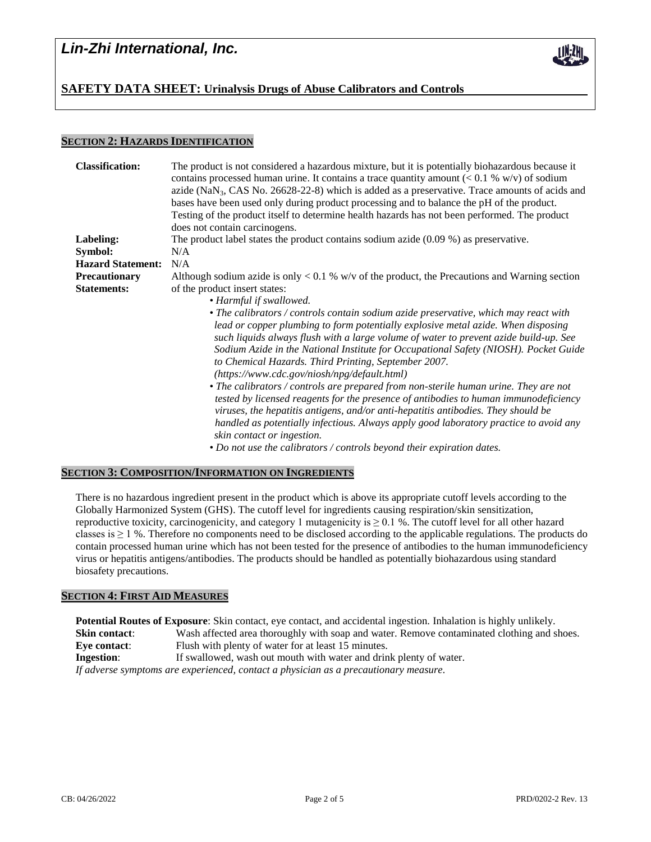# *Lin-Zhi International, Inc.*



### **SECTION 2: HAZARDS IDENTIFICATION**

| <b>Classification:</b>   | The product is not considered a hazardous mixture, but it is potentially biohazardous because it<br>contains processed human urine. It contains a trace quantity amount $(< 0.1 % w/v)$ of sodium<br>azide ( $\text{NaN}_3$ , CAS No. 26628-22-8) which is added as a preservative. Trace amounts of acids and<br>bases have been used only during product processing and to balance the pH of the product.<br>Testing of the product itself to determine health hazards has not been performed. The product<br>does not contain carcinogens. |  |  |
|--------------------------|-----------------------------------------------------------------------------------------------------------------------------------------------------------------------------------------------------------------------------------------------------------------------------------------------------------------------------------------------------------------------------------------------------------------------------------------------------------------------------------------------------------------------------------------------|--|--|
| Labeling:                | The product label states the product contains sodium azide $(0.09\%)$ as preservative.                                                                                                                                                                                                                                                                                                                                                                                                                                                        |  |  |
| Symbol:                  | N/A                                                                                                                                                                                                                                                                                                                                                                                                                                                                                                                                           |  |  |
| <b>Hazard Statement:</b> | N/A                                                                                                                                                                                                                                                                                                                                                                                                                                                                                                                                           |  |  |
| Precautionary            | Although sodium azide is only $< 0.1$ % w/v of the product, the Precautions and Warning section                                                                                                                                                                                                                                                                                                                                                                                                                                               |  |  |
| <b>Statements:</b>       | of the product insert states:<br>• Harmful if swallowed.<br>• The calibrators / controls contain sodium azide preservative, which may react with<br>lead or copper plumbing to form potentially explosive metal azide. When disposing<br>such liquids always flush with a large volume of water to prevent azide build-up. See<br>Sodium Azide in the National Institute for Occupational Safety (NIOSH). Pocket Guide<br>to Chemical Hazards. Third Printing, September 2007.                                                                |  |  |
|                          |                                                                                                                                                                                                                                                                                                                                                                                                                                                                                                                                               |  |  |
|                          |                                                                                                                                                                                                                                                                                                                                                                                                                                                                                                                                               |  |  |
|                          | $(https://www.cdc.gov/niosh/npg/default.html)$                                                                                                                                                                                                                                                                                                                                                                                                                                                                                                |  |  |
|                          | • The calibrators / controls are prepared from non-sterile human urine. They are not<br>tested by licensed reagents for the presence of antibodies to human immunodeficiency<br>viruses, the hepatitis antigens, and/or anti-hepatitis antibodies. They should be<br>handled as potentially infectious. Always apply good laboratory practice to avoid any<br>skin contact or ingestion.                                                                                                                                                      |  |  |
|                          | • Do not use the calibrators / controls beyond their expiration dates.                                                                                                                                                                                                                                                                                                                                                                                                                                                                        |  |  |

### **SECTION 3: COMPOSITION/INFORMATION ON INGREDIENTS**

There is no hazardous ingredient present in the product which is above its appropriate cutoff levels according to the Globally Harmonized System (GHS). The cutoff level for ingredients causing respiration/skin sensitization, reproductive toxicity, carcinogenicity, and category 1 mutagenicity is  $\geq 0.1$  %. The cutoff level for all other hazard classes is  $\geq 1$  %. Therefore no components need to be disclosed according to the applicable regulations. The products do contain processed human urine which has not been tested for the presence of antibodies to the human immunodeficiency virus or hepatitis antigens/antibodies. The products should be handled as potentially biohazardous using standard biosafety precautions.

### **SECTION 4: FIRST AID MEASURES**

**Potential Routes of Exposure**: Skin contact, eye contact, and accidental ingestion. Inhalation is highly unlikely. **Skin contact:** Wash affected area thoroughly with soap and water. Remove contaminated clothing and shoes. **Eve contact:** Flush with plenty of water for at least 15 minutes. **Ingestion:** If swallowed, wash out mouth with water and drink plenty of water. *If adverse symptoms are experienced, contact a physician as a precautionary measure.*

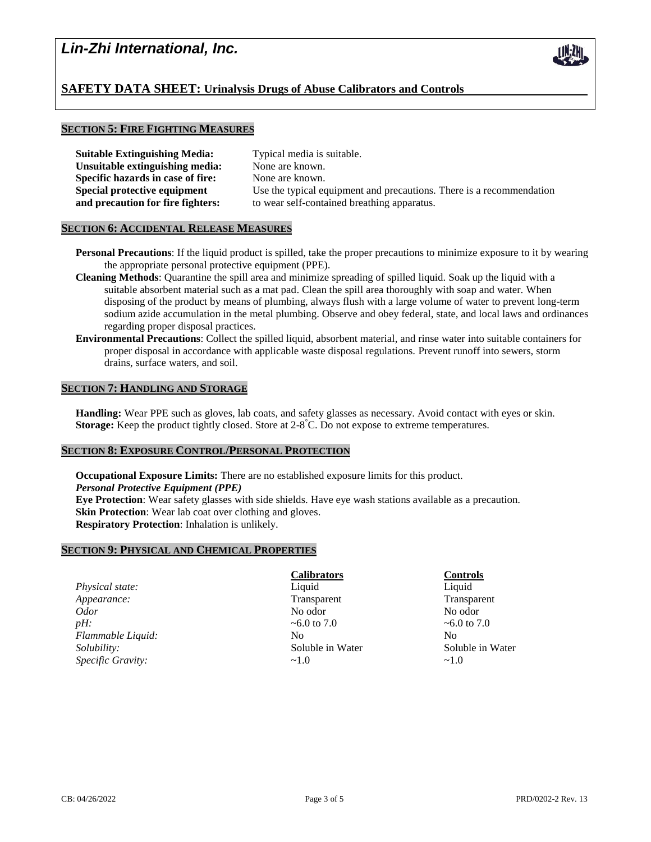# **SAFETY DATA SHEET: Urinalysis Drugs of Abuse Calibrators and Controls**

### **SECTION 5: FIRE FIGHTING MEASURES**

| <b>Suitable Extinguishing Media:</b> | Typical media is suitable. |
|--------------------------------------|----------------------------|
| Unsuitable extinguishing media:      | None are known.            |
| Specific hazards in case of fire:    | None are known.            |
| Special protective equipment         | Use the typical equipment  |
| and precaution for fire fighters:    | to wear self-contained bre |

nent and precautions. There is a recommendation breathing apparatus.

## **SECTION 6: ACCIDENTAL RELEASE MEASURES**

- **Personal Precautions**: If the liquid product is spilled, take the proper precautions to minimize exposure to it by wearing the appropriate personal protective equipment (PPE).
- **Cleaning Methods**: Quarantine the spill area and minimize spreading of spilled liquid. Soak up the liquid with a suitable absorbent material such as a mat pad. Clean the spill area thoroughly with soap and water. When disposing of the product by means of plumbing, always flush with a large volume of water to prevent long-term sodium azide accumulation in the metal plumbing. Observe and obey federal, state, and local laws and ordinances regarding proper disposal practices.
- **Environmental Precautions**: Collect the spilled liquid, absorbent material, and rinse water into suitable containers for proper disposal in accordance with applicable waste disposal regulations. Prevent runoff into sewers, storm drains, surface waters, and soil.

### **SECTION 7: HANDLING AND STORAGE**

**Handling:** Wear PPE such as gloves, lab coats, and safety glasses as necessary. Avoid contact with eyes or skin. **Storage:** Keep the product tightly closed. Store at 2-8 °C. Do not expose to extreme temperatures.

### **SECTION 8: EXPOSURE CONTROL/PERSONAL PROTECTION**

**Occupational Exposure Limits:** There are no established exposure limits for this product. *Personal Protective Equipment (PPE)* **Eye Protection**: Wear safety glasses with side shields. Have eye wash stations available as a precaution. **Skin Protection**: Wear lab coat over clothing and gloves. **Respiratory Protection**: Inhalation is unlikely.

### **SECTION 9: PHYSICAL AND CHEMICAL PROPERTIES**

| Physical state:    | Liquid           | Liquid            |
|--------------------|------------------|-------------------|
| Appearance:        | Transparent      | Transparer        |
| <i>Odor</i>        | No odor          | No odor           |
| pH:                | ~6.0 to 7.0      | $\sim 6.0$ to 7.0 |
| Flammable Liquid:  | N <sub>0</sub>   | N <sub>0</sub>    |
| <i>Solubility:</i> | Soluble in Water | Soluble in        |
| Specific Gravity:  | $\sim$ 1.0       | $\sim$ 1.0        |

# **Calibrators Controls**

**Transparent Transparent Soluble in Water** Soluble in Water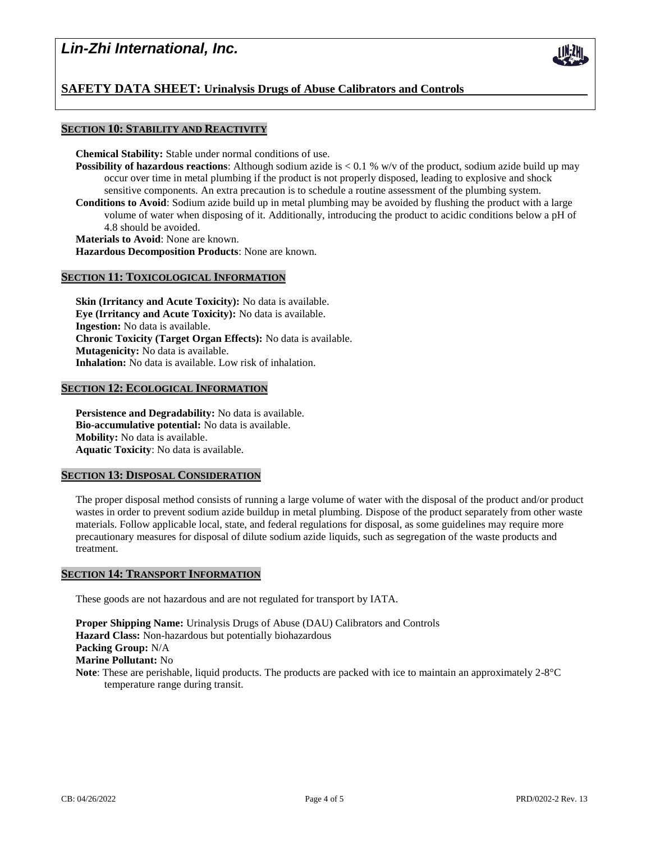# *Lin-Zhi International, Inc.*

# **SAFETY DATA SHEET: Urinalysis Drugs of Abuse Calibrators and Controls**

### **SECTION 10: STABILITY AND REACTIVITY**

**Chemical Stability:** Stable under normal conditions of use.

- **Possibility of hazardous reactions**: Although sodium azide is < 0.1 % w/v of the product, sodium azide build up may occur over time in metal plumbing if the product is not properly disposed, leading to explosive and shock sensitive components. An extra precaution is to schedule a routine assessment of the plumbing system.
- **Conditions to Avoid**: Sodium azide build up in metal plumbing may be avoided by flushing the product with a large volume of water when disposing of it. Additionally, introducing the product to acidic conditions below a pH of 4.8 should be avoided.

**Materials to Avoid**: None are known.

**Hazardous Decomposition Products**: None are known.

### **SECTION 11: TOXICOLOGICAL INFORMATION**

**Skin (Irritancy and Acute Toxicity):** No data is available. **Eye (Irritancy and Acute Toxicity):** No data is available. **Ingestion:** No data is available. **Chronic Toxicity (Target Organ Effects):** No data is available. **Mutagenicity:** No data is available. **Inhalation:** No data is available. Low risk of inhalation.

### **SECTION 12: ECOLOGICAL INFORMATION**

**Persistence and Degradability:** No data is available. **Bio-accumulative potential:** No data is available. **Mobility:** No data is available. **Aquatic Toxicity**: No data is available.

### **SECTION 13: DISPOSAL CONSIDERATION**

The proper disposal method consists of running a large volume of water with the disposal of the product and/or product wastes in order to prevent sodium azide buildup in metal plumbing. Dispose of the product separately from other waste materials. Follow applicable local, state, and federal regulations for disposal, as some guidelines may require more precautionary measures for disposal of dilute sodium azide liquids, such as segregation of the waste products and treatment.

## **SECTION 14: TRANSPORT INFORMATION**

These goods are not hazardous and are not regulated for transport by IATA.

**Proper Shipping Name:** Urinalysis Drugs of Abuse (DAU) Calibrators and Controls **Hazard Class:** Non-hazardous but potentially biohazardous **Packing Group:** N/A **Marine Pollutant:** No **Note**: These are perishable, liquid products. The products are packed with ice to maintain an approximately 2-8°C temperature range during transit.